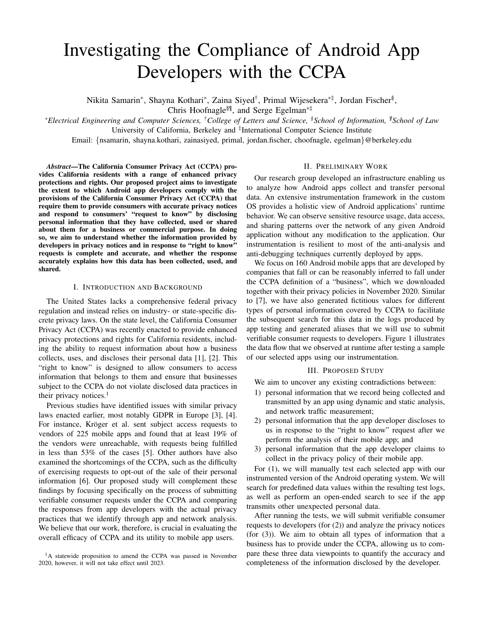# Investigating the Compliance of Android App Developers with the CCPA

Nikita Samarin\*, Shayna Kothari\*, Zaina Siyed<sup>†</sup>, Primal Wijesekera\*<sup>‡</sup>, Jordan Fischer<sup>§</sup>,

Chris Hoofnagle§¶, and Serge Egelman\*‡

*\*Electrical Engineering and Computer Sciences, †College of Letters and Science, §School of Information, ¶School of Law* University of California, Berkeley and <sup>‡</sup>International Computer Science Institute

Email: {nsamarin, shayna.kothari, zainasiyed, primal, jordan.fischer, choofnagle, egelman}@berkeley.edu

*Abstract*—The California Consumer Privacy Act (CCPA) provides California residents with a range of enhanced privacy protections and rights. Our proposed project aims to investigate the extent to which Android app developers comply with the provisions of the California Consumer Privacy Act (CCPA) that require them to provide consumers with accurate privacy notices and respond to consumers' "request to know" by disclosing personal information that they have collected, used or shared about them for a business or commercial purpose. In doing so, we aim to understand whether the information provided by developers in privacy notices and in response to "right to know" requests is complete and accurate, and whether the response accurately explains how this data has been collected, used, and shared.

#### I. INTRODUCTION AND BACKGROUND

The United States lacks a comprehensive federal privacy regulation and instead relies on industry- or state-specific discrete privacy laws. On the state level, the California Consumer Privacy Act (CCPA) was recently enacted to provide enhanced privacy protections and rights for California residents, including the ability to request information about how a business collects, uses, and discloses their personal data [1], [2]. This "right to know" is designed to allow consumers to access information that belongs to them and ensure that businesses subject to the CCPA do not violate disclosed data practices in their privacy notices. $<sup>1</sup>$ </sup>

Previous studies have identified issues with similar privacy laws enacted earlier, most notably GDPR in Europe [3], [4]. For instance, Kröger et al. sent subject access requests to vendors of 225 mobile apps and found that at least 19% of the vendors were unreachable, with requests being fulfilled in less than 53% of the cases [5]. Other authors have also examined the shortcomings of the CCPA, such as the difficulty of exercising requests to opt-out of the sale of their personal information [6]. Our proposed study will complement these findings by focusing specifically on the process of submitting verifiable consumer requests under the CCPA and comparing the responses from app developers with the actual privacy practices that we identify through app and network analysis. We believe that our work, therefore, is crucial in evaluating the overall efficacy of CCPA and its utility to mobile app users.

## II. PRELIMINARY WORK

Our research group developed an infrastructure enabling us to analyze how Android apps collect and transfer personal data. An extensive instrumentation framework in the custom OS provides a holistic view of Android applications' runtime behavior. We can observe sensitive resource usage, data access, and sharing patterns over the network of any given Android application without any modification to the application. Our instrumentation is resilient to most of the anti-analysis and anti-debugging techniques currently deployed by apps.

We focus on 160 Android mobile apps that are developed by companies that fall or can be reasonably inferred to fall under the CCPA definition of a "business", which we downloaded together with their privacy policies in November 2020. Similar to [7], we have also generated fictitious values for different types of personal information covered by CCPA to facilitate the subsequent search for this data in the logs produced by app testing and generated aliases that we will use to submit verifiable consumer requests to developers. Figure 1 illustrates the data flow that we observed at runtime after testing a sample of our selected apps using our instrumentation.

#### III. PROPOSED STUDY

We aim to uncover any existing contradictions between:

- 1) personal information that we record being collected and transmitted by an app using dynamic and static analysis, and network traffic measurement;
- 2) personal information that the app developer discloses to us in response to the "right to know" request after we perform the analysis of their mobile app; and
- 3) personal information that the app developer claims to collect in the privacy policy of their mobile app.

For (1), we will manually test each selected app with our instrumented version of the Android operating system. We will search for predefined data values within the resulting test logs, as well as perform an open-ended search to see if the app transmits other unexpected personal data.

After running the tests, we will submit verifiable consumer requests to developers (for (2)) and analyze the privacy notices (for (3)). We aim to obtain all types of information that a business has to provide under the CCPA, allowing us to compare these three data viewpoints to quantify the accuracy and completeness of the information disclosed by the developer.

<sup>&</sup>lt;sup>1</sup>A statewide proposition to amend the CCPA was passed in November 2020, however, it will not take effect until 2023.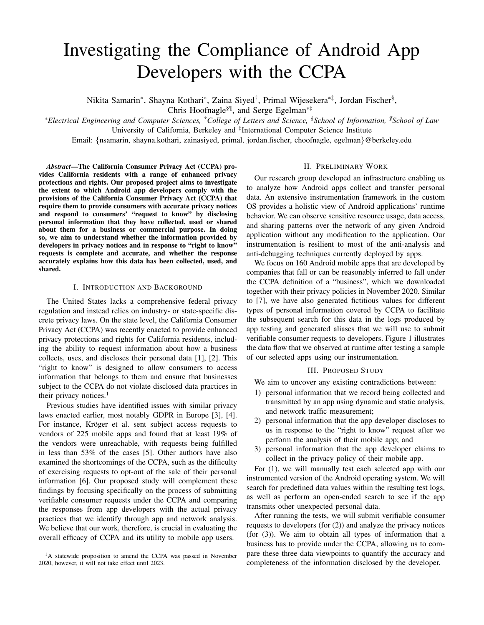## ACKNOWLEDGMENTS

We acknowledge the financial support provided to us by the Center for Long-Term Cybersecurity at UC Berkeley.

### **REFERENCES**

- [1] California Consumer Privacy Act (CCPA), 2018 Cal. Legis. Serv. Ch. 55 (A.B. 375).
- [2] California Consumer Privacy Act Regulations., 2020. Title 11, Division 1, Chapter 20.
- [3] Zimmeck, S., Story, P., Smullen, D., Ravichander, A., Wang, Z., Reidenberg, J., Russell, N.C. and Sadeh, N., 2019. MAPS: Scaling privacy compliance analysis to a million apps. Proceedings on Privacy Enhancing Technologies, 2019(3), pp.66-86.
- [4] Di Martino, M., Robyns, P., Weyts, W., Quax, P., Lamotte, W. and Andries, K., 2019. Personal Information Leakage by Abusing the GDPR 'Right of Access'. In Fifteenth Symposium on Usable Privacy and Security (SOUPS 2019).
- [5] Kröger, J.L., Lindemann, J. and Herrmann, D., 2020, August. How do app vendors respond to subject access requests? A longitudinal privacy study on iOS and Android Apps. In Proceedings of the 15th International Conference on Availability, Reliability and Security (pp. 1-10).
- [6] Mahoney, M., 2020. California Consumer Privacy Act: Are Consumers' Digital Rights Protected?
- [7] Zang, J., Dummit, K., Graves, J., Lisker, P. and Sweeney, L., 2015. Who knows what about me? A survey of behind the scenes personal data sharing to third parties by mobile apps. Technology Science, 30.